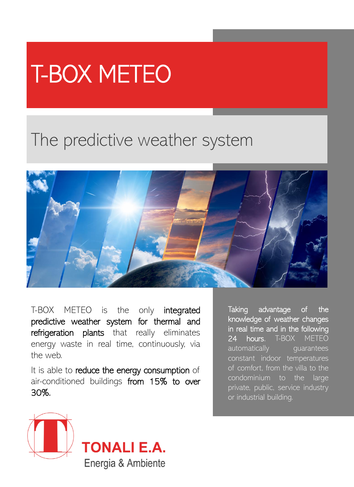## T-BOX METEO

## The predictive weather system



T-BOX METEO is the only integrated predictive weather system for thermal and refrigeration plants that really eliminates energy waste in real time, continuously, via the web.

It is able to reduce the energy consumption of air-conditioned buildings from 15% to over 30%.

Taking advantage of the knowledge of weather changes in real time and in the following 24 hours, T-BOX METEO automatically quarantees constant indoor temperatures of comfort, from the villa to the condominium to the large private, public, service industry or industrial building.



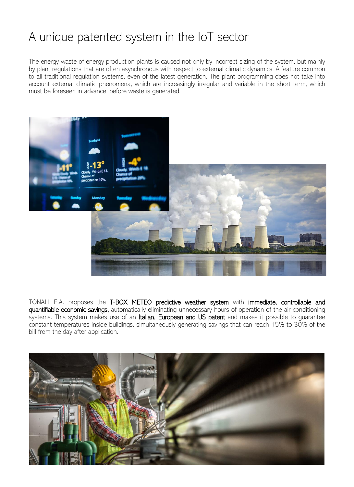## A unique patented system in the IoT sector

The energy waste of energy production plants is caused not only by incorrect sizing of the system, but mainly by plant regulations that are often asynchronous with respect to external climatic dynamics. A feature common to all traditional regulation systems, even of the latest generation. The plant programming does not take into account external climatic phenomena, which are increasingly irregular and variable in the short term, which must be foreseen in advance, before waste is generated.



TONALI E.A. proposes the T-BOX METEO predictive weather system with immediate, controllable and quantifiable economic savings, automatically eliminating unnecessary hours of operation of the air conditioning systems. This system makes use of an Italian, European and US patent and makes it possible to quarantee constant temperatures inside buildings, simultaneously generating savings that can reach 15% to 30% of the bill from the day after application.

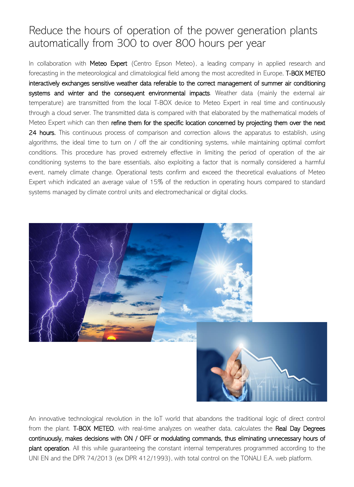## Reduce the hours of operation of the power generation plants automatically from 300 to over 800 hours per year

In collaboration with Meteo Expert (Centro Epson Meteo), a leading company in applied research and forecasting in the meteorological and climatological field among the most accredited in Europe, T-BOX METEO interactively exchanges sensitive weather data referable to the correct management of summer air conditioning systems and winter and the consequent environmental impacts. Weather data (mainly the external air temperature) are transmitted from the local T-BOX device to Meteo Expert in real time and continuously through a cloud server. The transmitted data is compared with that elaborated by the mathematical models of Meteo Expert which can then refine them for the specific location concerned by projecting them over the next 24 hours. This continuous process of comparison and correction allows the apparatus to establish, using algorithms, the ideal time to turn on / off the air conditioning systems, while maintaining optimal comfort conditions. This procedure has proved extremely effective in limiting the period of operation of the air conditioning systems to the bare essentials, also exploiting a factor that is normally considered a harmful event, namely climate change. Operational tests confirm and exceed the theoretical evaluations of Meteo Expert which indicated an average value of 15% of the reduction in operating hours compared to standard systems managed by climate control units and electromechanical or digital clocks.



An innovative technological revolution in the IoT world that abandons the traditional logic of direct control from the plant. T-BOX METEO, with real-time analyzes on weather data, calculates the Real Day Degrees continuously, makes decisions with ON / OFF or modulating commands, thus eliminating unnecessary hours of plant operation. All this while quaranteeing the constant internal temperatures programmed according to the UNI EN and the DPR 74/2013 (ex DPR 412/1993), with total control on the TONALI E.A. web platform.